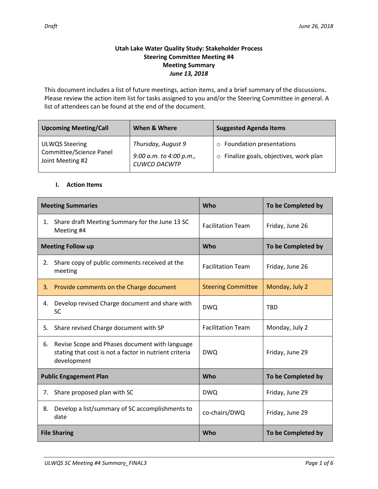### **Utah Lake Water Quality Study: Stakeholder Process Steering Committee Meeting #4 Meeting Summary** *June 13, 2018*

This document includes a list of future meetings, action items, and a brief summary of the discussions. Please review the action item list for tasks assigned to you and/or the Steering Committee in general. A list of attendees can be found at the end of the document.

| <b>Upcoming Meeting/Call</b>                                         | When & Where                                                         | <b>Suggested Agenda Items</b>                                         |  |
|----------------------------------------------------------------------|----------------------------------------------------------------------|-----------------------------------------------------------------------|--|
| <b>ULWQS Steering</b><br>Committee/Science Panel<br>Joint Meeting #2 | Thursday, August 9<br>9:00 a.m. to 4:00 p.m.,<br><b>CUWCD DACWTP</b> | o Foundation presentations<br>o Finalize goals, objectives, work plan |  |

### **I. Action Items**

| <b>Meeting Summaries</b> |                                                                                                                         | Who                       | To be Completed by |
|--------------------------|-------------------------------------------------------------------------------------------------------------------------|---------------------------|--------------------|
| 1.                       | Share draft Meeting Summary for the June 13 SC<br>Meeting #4                                                            | <b>Facilitation Team</b>  | Friday, June 26    |
|                          | <b>Meeting Follow up</b>                                                                                                | <b>Who</b>                | To be Completed by |
| 2.                       | Share copy of public comments received at the<br>meeting                                                                | <b>Facilitation Team</b>  | Friday, June 26    |
| 3.                       | Provide comments on the Charge document                                                                                 | <b>Steering Committee</b> | Monday, July 2     |
| 4.                       | Develop revised Charge document and share with<br><b>SC</b>                                                             | <b>DWQ</b>                | <b>TBD</b>         |
| 5.                       | Share revised Charge document with SP                                                                                   | <b>Facilitation Team</b>  | Monday, July 2     |
| 6.                       | Revise Scope and Phases document with language<br>stating that cost is not a factor in nutrient criteria<br>development | <b>DWQ</b>                | Friday, June 29    |
|                          | <b>Public Engagement Plan</b>                                                                                           | <b>Who</b>                | To be Completed by |
| 7.                       | Share proposed plan with SC                                                                                             | <b>DWQ</b>                | Friday, June 29    |
| 8.                       | Develop a list/summary of SC accomplishments to<br>date                                                                 | co-chairs/DWQ             | Friday, June 29    |
| <b>File Sharing</b>      |                                                                                                                         | Who                       | To be Completed by |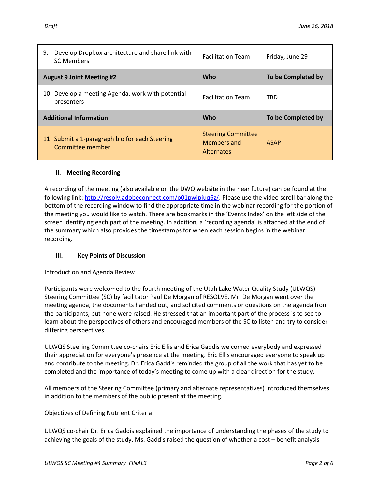| Develop Dropbox architecture and share link with<br>9.<br><b>SC Members</b> | <b>Facilitation Team</b>                                      | Friday, June 29    |
|-----------------------------------------------------------------------------|---------------------------------------------------------------|--------------------|
| <b>August 9 Joint Meeting #2</b>                                            | Who                                                           | To be Completed by |
| 10. Develop a meeting Agenda, work with potential<br>presenters             | <b>Facilitation Team</b>                                      | <b>TBD</b>         |
| <b>Additional Information</b>                                               | Who                                                           | To be Completed by |
| 11. Submit a 1-paragraph bio for each Steering<br>Committee member          | <b>Steering Committee</b><br>Members and<br><b>Alternates</b> | <b>ASAP</b>        |

## **II. Meeting Recording**

A recording of the meeting (also available on the DWQ website in the near future) can be found at the following link:<http://resolv.adobeconnect.com/p01pwjpjuq6z/>. Please use the video scroll bar along the bottom of the recording window to find the appropriate time in the webinar recording for the portion of the meeting you would like to watch. There are bookmarks in the 'Events Index' on the left side of the screen identifying each part of the meeting. In addition, a 'recording agenda' is attached at the end of the summary which also provides the timestamps for when each session begins in the webinar recording.

# **III. Key Points of Discussion**

### Introduction and Agenda Review

Participants were welcomed to the fourth meeting of the Utah Lake Water Quality Study (ULWQS) Steering Committee (SC) by facilitator Paul De Morgan of RESOLVE. Mr. De Morgan went over the meeting agenda, the documents handed out, and solicited comments or questions on the agenda from the participants, but none were raised. He stressed that an important part of the process is to see to learn about the perspectives of others and encouraged members of the SC to listen and try to consider differing perspectives.

ULWQS Steering Committee co-chairs Eric Ellis and Erica Gaddis welcomed everybody and expressed their appreciation for everyone's presence at the meeting. Eric Ellis encouraged everyone to speak up and contribute to the meeting. Dr. Erica Gaddis reminded the group of all the work that has yet to be completed and the importance of today's meeting to come up with a clear direction for the study.

All members of the Steering Committee (primary and alternate representatives) introduced themselves in addition to the members of the public present at the meeting.

### Objectives of Defining Nutrient Criteria

ULWQS co-chair Dr. Erica Gaddis explained the importance of understanding the phases of the study to achieving the goals of the study. Ms. Gaddis raised the question of whether a cost – benefit analysis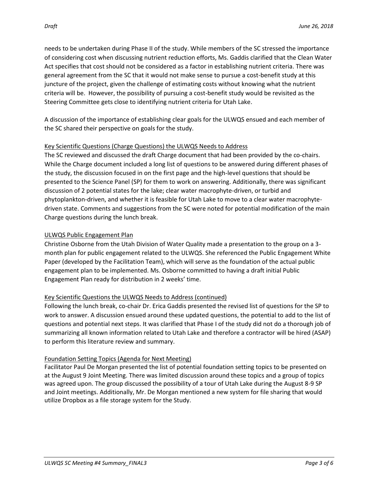needs to be undertaken during Phase II of the study. While members of the SC stressed the importance of considering cost when discussing nutrient reduction efforts, Ms. Gaddis clarified that the Clean Water Act specifies that cost should not be considered as a factor in establishing nutrient criteria. There was general agreement from the SC that it would not make sense to pursue a cost-benefit study at this juncture of the project, given the challenge of estimating costs without knowing what the nutrient criteria will be. However, the possibility of pursuing a cost-benefit study would be revisited as the Steering Committee gets close to identifying nutrient criteria for Utah Lake.

A discussion of the importance of establishing clear goals for the ULWQS ensued and each member of the SC shared their perspective on goals for the study.

#### Key Scientific Questions (Charge Questions) the ULWQS Needs to Address

The SC reviewed and discussed the draft Charge document that had been provided by the co-chairs. While the Charge document included a long list of questions to be answered during different phases of the study, the discussion focused in on the first page and the high-level questions that should be presented to the Science Panel (SP) for them to work on answering. Additionally, there was significant discussion of 2 potential states for the lake; clear water macrophyte-driven, or turbid and phytoplankton-driven, and whether it is feasible for Utah Lake to move to a clear water macrophytedriven state. Comments and suggestions from the SC were noted for potential modification of the main Charge questions during the lunch break.

#### ULWQS Public Engagement Plan

Christine Osborne from the Utah Division of Water Quality made a presentation to the group on a 3 month plan for public engagement related to the ULWQS. She referenced the Public Engagement White Paper (developed by the Facilitation Team), which will serve as the foundation of the actual public engagement plan to be implemented. Ms. Osborne committed to having a draft initial Public Engagement Plan ready for distribution in 2 weeks' time.

### Key Scientific Questions the ULWQS Needs to Address (continued)

Following the lunch break, co-chair Dr. Erica Gaddis presented the revised list of questions for the SP to work to answer. A discussion ensued around these updated questions, the potential to add to the list of questions and potential next steps. It was clarified that Phase I of the study did not do a thorough job of summarizing all known information related to Utah Lake and therefore a contractor will be hired (ASAP) to perform this literature review and summary.

### Foundation Setting Topics (Agenda for Next Meeting)

Facilitator Paul De Morgan presented the list of potential foundation setting topics to be presented on at the August 9 Joint Meeting. There was limited discussion around these topics and a group of topics was agreed upon. The group discussed the possibility of a tour of Utah Lake during the August 8-9 SP and Joint meetings. Additionally, Mr. De Morgan mentioned a new system for file sharing that would utilize Dropbox as a file storage system for the Study.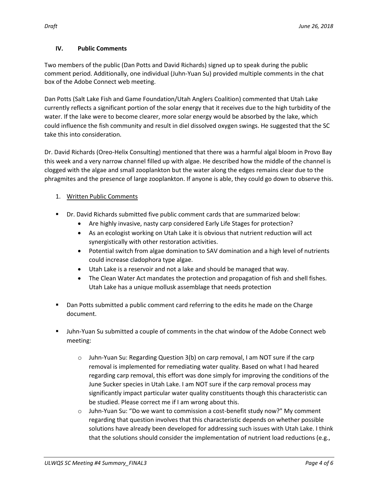### **IV. Public Comments**

Two members of the public (Dan Potts and David Richards) signed up to speak during the public comment period. Additionally, one individual (Juhn-Yuan Su) provided multiple comments in the chat box of the Adobe Connect web meeting.

Dan Potts (Salt Lake Fish and Game Foundation/Utah Anglers Coalition) commented that Utah Lake currently reflects a significant portion of the solar energy that it receives due to the high turbidity of the water. If the lake were to become clearer, more solar energy would be absorbed by the lake, which could influence the fish community and result in diel dissolved oxygen swings. He suggested that the SC take this into consideration.

Dr. David Richards (Oreo-Helix Consulting) mentioned that there was a harmful algal bloom in Provo Bay this week and a very narrow channel filled up with algae. He described how the middle of the channel is clogged with the algae and small zooplankton but the water along the edges remains clear due to the phragmites and the presence of large zooplankton. If anyone is able, they could go down to observe this.

# 1. Written Public Comments

- Dr. David Richards submitted five public comment cards that are summarized below:
	- Are highly invasive, nasty carp considered Early Life Stages for protection?
	- As an ecologist working on Utah Lake it is obvious that nutrient reduction will act synergistically with other restoration activities.
	- Potential switch from algae domination to SAV domination and a high level of nutrients could increase cladophora type algae.
	- Utah Lake is a reservoir and not a lake and should be managed that way.
	- The Clean Water Act mandates the protection and propagation of fish and shell fishes. Utah Lake has a unique mollusk assemblage that needs protection
- Dan Potts submitted a public comment card referring to the edits he made on the Charge document.
- Juhn-Yuan Su submitted a couple of comments in the chat window of the Adobe Connect web meeting:
	- o Juhn-Yuan Su: Regarding Question 3(b) on carp removal, I am NOT sure if the carp removal is implemented for remediating water quality. Based on what I had heared regarding carp removal, this effort was done simply for improving the conditions of the June Sucker species in Utah Lake. I am NOT sure if the carp removal process may significantly impact particular water quality constituents though this characteristic can be studied. Please correct me if I am wrong about this.
	- o Juhn-Yuan Su: "Do we want to commission a cost-benefit study now?" My comment regarding that question involves that this characteristic depends on whether possible solutions have already been developed for addressing such issues with Utah Lake. I think that the solutions should consider the implementation of nutrient load reductions (e.g.,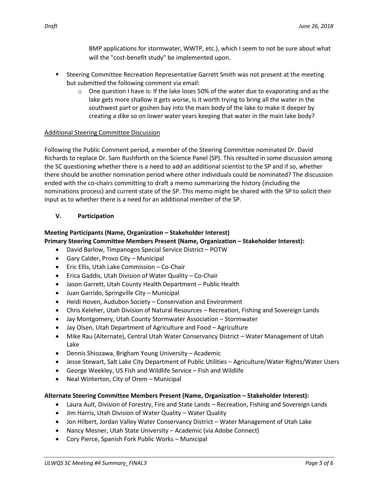BMP applications for stormwater, WWTP, etc.), which I seem to not be sure about what will the "cost-benefit study" be implemented upon.

- Steering Committee Recreation Representative Garrett Smith was not present at the meeting but submitted the following comment via email:
	- $\circ$  One question I have is: If the lake loses 50% of the water due to evaporating and as the lake gets more shallow it gets worse, Is it worth trying to bring all the water in the southwest part or goshen bay into the main body of the lake to make it deeper by creating a dike so on lower water years keeping that water in the main lake body?

#### Additional Steering Committee Discussion

Following the Public Comment period, a member of the Steering Committee nominated Dr. David Richards to replace Dr. Sam Rushforth on the Science Panel (SP). This resulted in some discussion among the SC questioning whether there is a need to add an additional scientist to the SP and if so, whether there should be another nomination period where other individuals could be nominated? The discussion ended with the co-chairs committing to draft a memo summarizing the history (including the nominations process) and current state of the SP. This memo might be shared with the SP to solicit their input as to whether there is a need for an additional member of the SP.

### **V. Participation**

#### **Meeting Participants (Name, Organization – Stakeholder Interest) Primary Steering Committee Members Present (Name, Organization – Stakeholder Interest):**

- David Barlow, Timpanogos Special Service District POTW
- Gary Calder, Provo City Municipal
- Eric Ellis, Utah Lake Commission Co-Chair
- Erica Gaddis, Utah Division of Water Quality Co-Chair
- Jason Garrett, Utah County Health Department Public Health
- Juan Garrido, Springville City Municipal
- Heidi Hoven, Audubon Society Conservation and Environment
- Chris Keleher, Utah Division of Natural Resources Recreation, Fishing and Sovereign Lands
- Jay Montgomery, Utah County Stormwater Association Stormwater
- Jay Olsen, Utah Department of Agriculture and Food Agriculture
- Mike Rau (Alternate), Central Utah Water Conservancy District Water Management of Utah Lake
- Dennis Shiozawa, Brigham Young University Academic
- Jesse Stewart, Salt Lake City Department of Public Utilities Agriculture/Water Rights/Water Users
- George Weekley, US Fish and Wildlife Service Fish and Wildlife
- Neal Winterton, City of Orem Municipal

### **Alternate Steering Committee Members Present (Name, Organization – Stakeholder Interest):**

- Laura Ault, Division of Forestry, Fire and State Lands Recreation, Fishing and Sovereign Lands
- Jim Harris, Utah Division of Water Quality Water Quality
- Jon Hilbert, Jordan Valley Water Conservancy District Water Management of Utah Lake
- Nancy Mesner, Utah State University Academic (via Adobe Connect)
- Cory Pierce, Spanish Fork Public Works Municipal